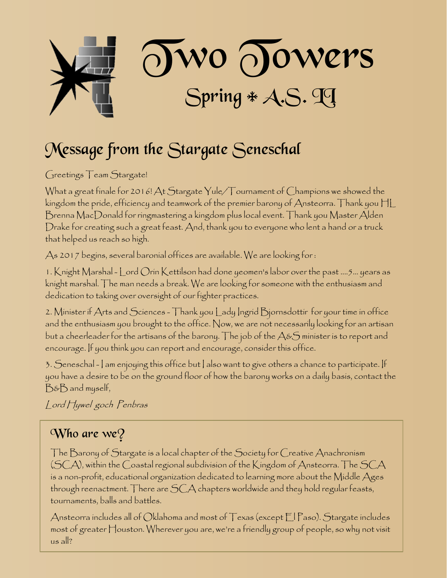

## Message from the Stargate Seneschal

Greetings Team Stargate!

What a great finale for 2016! At Stargate Yule/Tournament of Champions we showed the kingdom the pride, efficiency and teamwork of the premier barony of Ansteorra. Thank you HL Brenna MacDonald for ringmastering a kingdom plus local event. Thank you Master Alden Drake for creating such a great feast. And, thank you to everyone who lent a hand or a truck that helped us reach so high.

As 2017 begins, several baronial offices are available. We are looking for :

1. Knight Marshal - Lord Orin Kettilson had done yeomen's labor over the past ....5... years as knight marshal. The man needs a break. We are looking for someone with the enthusiasm and dedication to taking over oversight of our fighter practices.

2. Minister if Arts and Sciences - Thank you Lady Ingrid Bjornsdottir for your time in office and the enthusiasm you brought to the office. Now, we are not necessarily looking for an artisan but a cheerleader for the artisans of the barony. The job of the  $\mathcal{A}\&\mathcal{S}$  minister is to report and encourage. If you think you can report and encourage, consider this office.

3. Seneschal - I am enjoying this office but I also want to give others a chance to participate. If you have a desire to be on the ground floor of how the barony works on a daily basis, contact the B&B and myself,

Lord Hywel goch Penbras

### $W$ ho are we?

The Barony of Stargate is a local chapter of the Society for Creative Anachronism (SCA), within the Coastal regional subdivision of the Kingdom of Ansteorra. The SCA is a non-profit, educational organization dedicated to learning more about the Middle Ages through reenactment. There are SCA chapters worldwide and they hold regular feasts, tournaments, balls and battles.

Ansteorra includes all of Oklahoma and most of Texas (except El Paso). Stargate includes most of greater Houston. Wherever you are, we're a friendly group of people, so why not visit us all?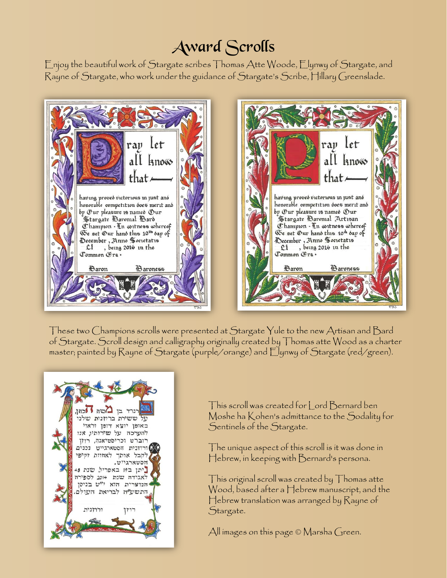## Award Scrolls

Enjoy the beautiful work of Stargate scribes Thomas Atte Woode, Elynwy of Stargate, and Rayne of Stargate, who work under the guidance of Stargate's Scribe, Hillary Greenslade.



These two Champions scrolls were presented at Stargate Yule to the new Artisan and Bard of Stargate. Scroll design and calligraphy originally created by Thomas atte Wood as a charter master; painted by Rayne of Stargate (purple/orange) and Elynwy of Stargate (red/green).



This scroll was created for Lord Bernard ben Moshe ha Kohen's admittance to the Sodality for Sentinels of the Stargate.

The unique aspect of this scroll is it was done in Hebrew, in keeping with Bernard's persona.

This original scroll was created by Thomas atte Wood, based after a Hebrew manuscript, and the Hebrew translation was arranged by Rayne of Stargate.

All images on this page © Marsha Green.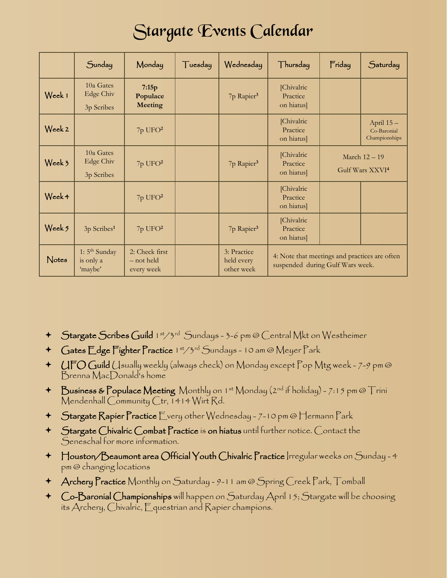## Stargate Events Calendar

|                   | Sunday                                            | Monday                                     | Tuesday | Wednesday                               | Thursday                                                                          | Friday                                       | Saturday                                   |
|-------------------|---------------------------------------------------|--------------------------------------------|---------|-----------------------------------------|-----------------------------------------------------------------------------------|----------------------------------------------|--------------------------------------------|
| Week 1            | 10a Gates<br><b>Edge Chiv</b><br>3p Scribes       | 7:15p<br>Populace<br><b>Meeting</b>        |         | 7p Rapier <sup>3</sup>                  | [Chivalric]<br>Practice<br>on hiatus]                                             |                                              |                                            |
| Week 2            |                                                   | $7p$ UFO $2$                               |         |                                         | [Chivalric]<br>Practice<br>on hiatus]                                             |                                              | April 15 -<br>Co-Baronial<br>Championships |
| Week 3            | 10a Gates<br><b>Edge Chiv</b><br>3p Scribes       | 7p UFO <sup>2</sup>                        |         | 7p Rapier <sup>3</sup>                  | [Chivalric]<br>Practice<br>on hiatus]                                             | March 12 - 19<br>Gulf Wars XXVI <sup>4</sup> |                                            |
| Week 4            |                                                   | $7p$ UFO $2$                               |         |                                         | [Chivalric]<br>Practice<br>on hiatus]                                             |                                              |                                            |
| Week <sub>5</sub> | 3p Scribes <sup>1</sup>                           | $7p$ UFO $2$                               |         | 7p Rapier <sup>3</sup>                  | [Chivalric]<br>Practice<br>on hiatus]                                             |                                              |                                            |
| Notes             | 1: 5 <sup>th</sup> Sunday<br>is only a<br>'maybe' | 2: Check first<br>- not held<br>every week |         | 3: Practice<br>held every<br>other week | 4: Note that meetings and practices are often<br>suspended during Gulf Wars week. |                                              |                                            |

- + Stargate Scribes Guild 1st/3rd Sundays 3-6 pm @ Central Mkt on Westheimer
- + Gates Edge Fighter Practice 1st/3rd Sundays 10 am @ Meyer Park
- UFO Guild Usually weekly (always check) on Monday except Pop Mtg week 7-9 pm @ Brenna MacDonald's home
- + Business & Populace Meeting Monthly on 1st Monday (2nd if holiday) 7:15 pm @ Trini Mendenhall Community Ctr, 1414 Wirt Rd.
- Stargate Rapier Practice Every other Wednesday 7-10 pm @ Hermann Park
- Stargate Chivalric Combat Practice is on hiatus until further notice. Contact the Seneschal for more information.
- Houston/Beaumont area Official Youth Chivalric Practice Irregular weeks on Sunday 4 pm @ changing locations
- Archery Practice Monthly on Saturday 9-11 am @ Spring Creek Park, Tomball
- Co-Baronial Championships will happen on Saturday April 15; Stargate will be choosing its Archery, Chivalric, Equestrian and Rapier champions.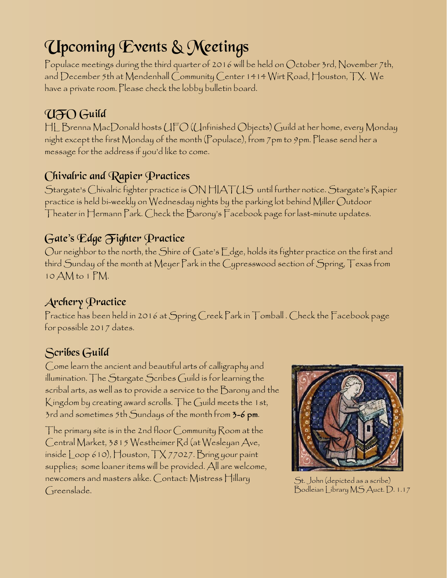# Upcoming Events & Meetings

Populace meetings during the third quarter of 2016 will be held on October 3rd, November 7th, and December 5th at Mendenhall Community Center 1414 Wirt Road, Houston, TX. We have a private room. Please check the lobby bulletin board.

### UFO Guild

HL Brenna MacDonald hosts UFO (Unfinished Objects) Guild at her home, every Monday night except the first Monday of the month (Populace), from 7pm to 9pm. Please send her a message for the address if you'd like to come.

### Chivalric and Rapier Practices

Stargate's Chivalric fighter practice is ON HIATUS until further notice. Stargate's Rapier practice is held bi-weekly on Wednesday nights by the parking lot behind Miller Outdoor Theater in Hermann Park. Check the Barony's Facebook page for last-minute updates.

### Gate's Edge Fighter Practice

Our neighbor to the north, the Shire of Gate's Edge, holds its fighter practice on the first and third Sunday of the month at Meyer Park in the Cypresswood section of Spring, Texas from 10 AM to 1 PM.

### Archery Practice

Practice has been held in 2016 at Spring Creek Park in Tomball . Check the Facebook page for possible 2017 dates.

### Scribes Guild

Come learn the ancient and beautiful arts of calligraphy and illumination. The Stargate Scribes Guild is for learning the scribal arts, as well as to provide a service to the Barony and the Kingdom by creating award scrolls. The Guild meets the 1st, 3rd and sometimes 5th Sundays of the month from 3-6 pm.

The primary site is in the 2nd floor Community Room at the Central Market, 3815 Westheimer Rd (at Wesleyan Ave, inside  $\lfloor$ oop 610), Houston,  $\lceil \frac{\sqrt{7027}}{\sqrt{7027}} \rceil$  ring your paint supplies; some loaner items will be provided. All are welcome, newcomers and masters alike. Contact: Mistress Hillary Greenslade.



St. John (depicted as a scribe) Bodleian Library MS Auct. D. 1.17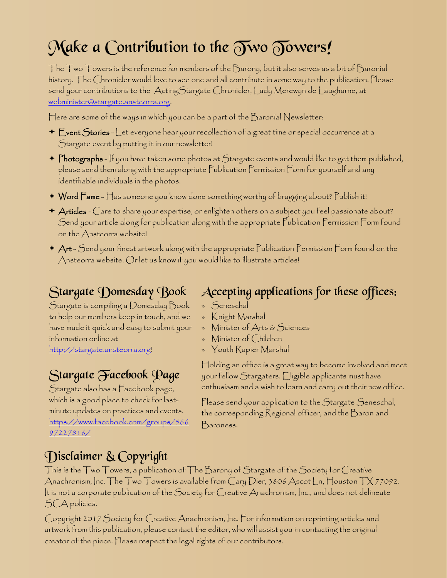# Make a Contribution to the  $\widetilde{\partial w}$   $\widetilde{\partial w}$   $\widetilde{\partial w}$

The Two Towers is the reference for members of the Barony, but it also serves as a bit of Baronial history. The Chronicler would love to see one and all contribute in some way to the publication. Please send your contributions to the ActingStargate Chronicler, Lady Merewyn de Laugharne, at [webminister@stargate.ansteorra.org](mailto:webminister@stargate.ansteorra.org?subject=Two Towers).

Here are some of the ways in which you can be a part of the Baronial Newsletter:

- $\textcolor{black}{\star}$   $\textsf{E}$  vent  $\textsf{S}$ tories  $\textsf{L}$ et everyone hear your recollection of a great time or special occurrence at a Stargate event by putting it in our newsletter!
- $\blacklozenge$  Photographs If you have taken some photos at Stargate events and would like to get them published, please send them along with the appropriate Publication Permission Form for yourself and any identifiable individuals in the photos.
- Word Fame Has someone you know done something worthy of bragging about? Publish it!
- $\bm{\negthinspace}$   $\bm{\negthinspace}$   $\bm{\land}$   $\bm{\neg}$  are to share your expertise, or enlighten others on a subject you feel passionate about? Send your article along for publication along with the appropriate Publication Permission Form found on the Ansteorra website!
- $\blacklozenge$   $\blacktriangleleft$   $\blacktriangleleft$   $\blacktriangleleft$   $\blacktriangleleft$   $\blacktriangleleft$  artwork along with the appropriate  $\mathsf{\Gamma}$ ublication  $\mathsf{\Gamma}$ ermission  $\mathsf{\Gamma}$ orm found on the Ansteorra website. Or let us know if you would like to illustrate articles!

### Stargate Domesday Book

Stargate is compiling a Domesday Book to help our members keep in touch, and we have made it quick and easy to submit your information online at

[http://stargate.ansteorra.org](http://stargate.ansteorra.org/)!

### Stargate Facebook Page

Stargate also has a Facebook page, which is a good place to check for lastminute updates on practices and events. [https://www.facebook.com/groups/566](https://www.facebook.com/groups/56697227816/) [97227816/](https://www.facebook.com/groups/56697227816/)

### Accepting applications for these offices:

- » Seneschal
- » Knight Marshal
- » Minister of Arts & Sciences
- » Minister of Children
- » Youth Rapier Marshal

Holding an office is a great way to become involved and meet your fellow Stargaters. Eligible applicants must have enthusiasm and a wish to learn and carry out their new office.

Please send your application to the Stargate Seneschal, the corresponding Regional officer, and the Baron and Baroness.

### Disclaimer & Copyright

This is the Two Towers, a publication of The Barony of Stargate of the Society for Creative Anachronism, Inc. The Two Towers is available from Cary Dier, 3806 Ascot Ln, Houston TX 77092. It is not a corporate publication of the Society for Creative Anachronism, Inc., and does not delineate SCA policies.

Copyright 2017 Society for Creative Anachronism, Inc. For information on reprinting articles and artwork from this publication, please contact the editor, who will assist you in contacting the original creator of the piece. Please respect the legal rights of our contributors.